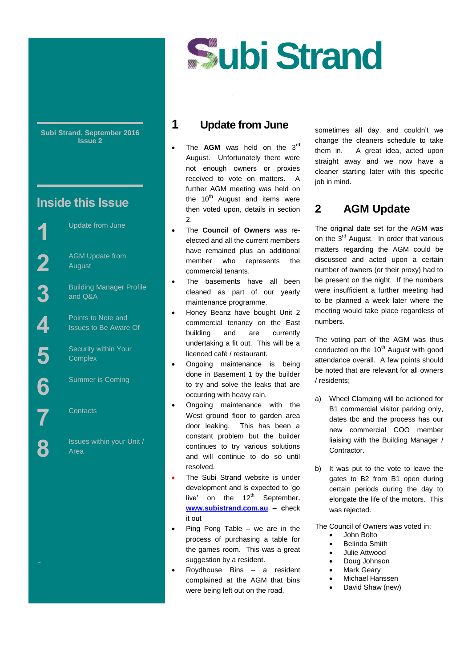

**Subi Strand, September 2016 Issue 2**

# **Inside this Issue**

Street

Update from June

AGM Update from August

Building Manager Profile and Q&A

Points to Note and Issues to Be Aware Of

Security within Your **Complex** 

Summer is Coming

**Contacts** 

Issues within your Unit / Area

## **1 Update from June**

- The **AGM** was held on the 3<sup>rd</sup> August. Unfortunately there were not enough owners or proxies received to vote on matters. A further AGM meeting was held on the  $10<sup>th</sup>$  August and items were then voted upon, details in section 2.
- The **Council of Owners** was reelected and all the current members have remained plus an additional member who represents the commercial tenants.
- The basements have all been cleaned as part of our yearly maintenance programme.
- Honey Beanz have bought Unit 2 commercial tenancy on the East building and are currently undertaking a fit out. This will be a licenced café / restaurant.
- Ongoing maintenance is being done in Basement 1 by the builder to try and solve the leaks that are occurring with heavy rain.
- Ongoing maintenance with the West ground floor to garden area door leaking. This has been a constant problem but the builder continues to try various solutions and will continue to do so until resolved.
- The Subi Strand website is under development and is expected to 'go live' on the 12<sup>th</sup> September. **[www.subistrand.com.au](http://www.subistrand.com.au/) – c**heck it out
- $\bullet$  Ping Pong Table we are in the process of purchasing a table for the games room. This was a great suggestion by a resident.
- Roydhouse Bins a resident complained at the AGM that bins were being left out on the road,

sometimes all day, and couldn't we change the cleaners schedule to take them in. A great idea, acted upon straight away and we now have a cleaner starting later with this specific job in mind.

# **2 AGM Update**

The original date set for the AGM was on the 3<sup>rd</sup> August. In order that various matters regarding the AGM could be discussed and acted upon a certain number of owners (or their proxy) had to be present on the night. If the numbers were insufficient a further meeting had to be planned a week later where the meeting would take place regardless of numbers.

The voting part of the AGM was thus conducted on the  $10<sup>th</sup>$  August with good attendance overall. A few points should be noted that are relevant for all owners / residents;

- a) Wheel Clamping will be actioned for B1 commercial visitor parking only, dates tbc and the process has our new commercial COO member liaising with the Building Manager / Contractor.
- b) It was put to the vote to leave the gates to B2 from B1 open during certain periods during the day to elongate the life of the motors. This was rejected.

The Council of Owners was voted in;

- John Bolto
- Belinda Smith
- Julie Attwood
- Doug Johnson Mark Geary
- Michael Hanssen
- David Shaw (new)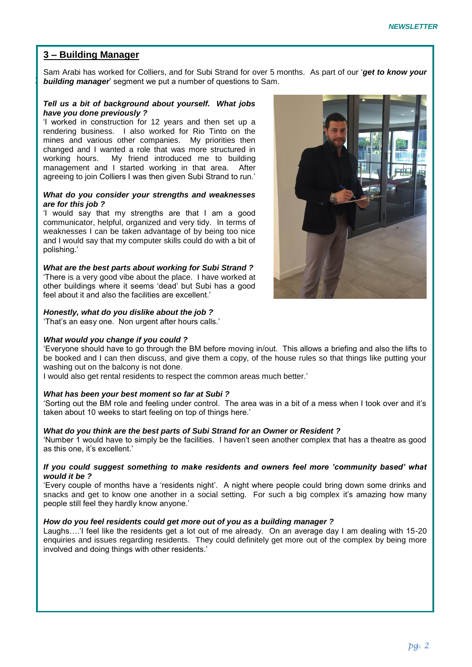### **3 – Building Manager**

**building manager**' segment we put a number of questions to Sam. Sam Arabi has worked for Colliers, and for Subi Strand for over 5 months. As part of our '*get to know your* 

### *Tell us a bit of background about yourself. What jobs have you done previously ?*

'I worked in construction for 12 years and then set up a rendering business. I also worked for Rio Tinto on the mines and various other companies. My priorities then changed and I wanted a role that was more structured in working hours. My friend introduced me to building management and I started working in that area. After agreeing to join Colliers I was then given Subi Strand to run.'

#### *What do you consider your strengths and weaknesses are for this job ?*

'I would say that my strengths are that I am a good communicator, helpful, organized and very tidy. In terms of weaknesses I can be taken advantage of by being too nice and I would say that my computer skills could do with a bit of polishing.'

*What are the best parts about working for Subi Strand ?* 'There is a very good vibe about the place. I have worked at other buildings where it seems 'dead' but Subi has a good feel about it and also the facilities are excellent.'

### *Honestly, what do you dislike about the job ?*

'That's an easy one. Non urgent after hours calls.'

### *What would you change if you could ?*

'Everyone should have to go through the BM before moving in/out. This allows a briefing and also the lifts to be booked and I can then discuss, and give them a copy, of the house rules so that things like putting your washing out on the balcony is not done.

I would also get rental residents to respect the common areas much better.'

### *What has been your best moment so far at Subi ?*

'Sorting out the BM role and feeling under control. The area was in a bit of a mess when I took over and it's taken about 10 weeks to start feeling on top of things here.'

### *What do you think are the best parts of Subi Strand for an Owner or Resident ?*

'Number 1 would have to simply be the facilities. I haven't seen another complex that has a theatre as good as this one, it's excellent.'

### *If you could suggest something to make residents and owners feel more 'community based' what would it be ?*

'Every couple of months have a 'residents night'. A night where people could bring down some drinks and snacks and get to know one another in a social setting. For such a big complex it's amazing how many people still feel they hardly know anyone.'

### *How do you feel residents could get more out of you as a building manager ?*

Laughs….'I feel like the residents get a lot out of me already. On an average day I am dealing with 15-20 enquiries and issues regarding residents. They could definitely get more out of the complex by being more involved and doing things with other residents.'

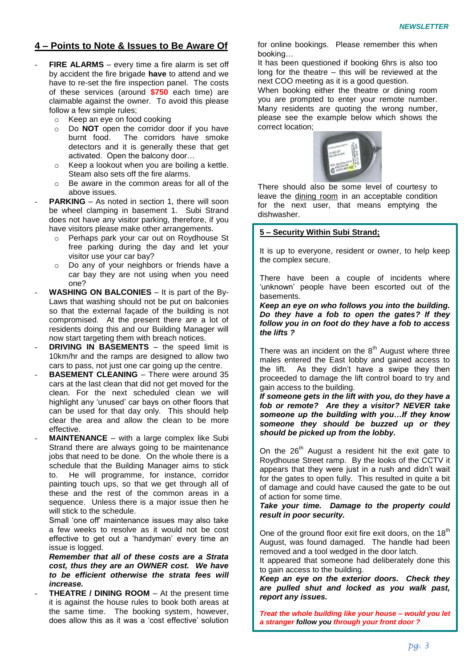### **4 – Points to Note & Issues to Be Aware Of**

- FIRE ALARMS every time a fire alarm is set off by accident the fire brigade **have** to attend and we have to re-set the fire inspection panel. The costs of these services (around **\$750** each time) are claimable against the owner. To avoid this please follow a few simple rules;
	- o Keep an eye on food cooking
	- o Do **NOT** open the corridor door if you have burnt food. The corridors have smoke detectors and it is generally these that get activated. Open the balcony door…
	- o Keep a lookout when you are boiling a kettle. Steam also sets off the fire alarms.
	- o Be aware in the common areas for all of the above issues.
- **PARKING** As noted in section 1, there will soon be wheel clamping in basement 1. Subi Strand does not have any visitor parking, therefore, if you have visitors please make other arrangements.
	- o Perhaps park your car out on Roydhouse St free parking during the day and let your visitor use your car bay?
	- o Do any of your neighbors or friends have a car bay they are not using when you need one?
- **WASHING ON BALCONIES** It is part of the By-Laws that washing should not be put on balconies so that the external façade of the building is not compromised. At the present there are a lot of residents doing this and our Building Manager will now start targeting them with breach notices.
- **DRIVING IN BASEMENTS** the speed limit is 10km/hr and the ramps are designed to allow two cars to pass, not just one car going up the centre.
- **BASEMENT CLEANING** There were around 35 cars at the last clean that did not get moved for the clean. For the next scheduled clean we will highlight any 'unused' car bays on other floors that can be used for that day only. This should help clear the area and allow the clean to be more effective.
- **MAINTENANCE** with a large complex like Subi Strand there are always going to be maintenance jobs that need to be done. On the whole there is a schedule that the Building Manager aims to stick to. He will programme, for instance, corridor painting touch ups, so that we get through all of these and the rest of the common areas in a sequence. Unless there is a major issue then he will stick to the schedule.

Small 'one off' maintenance issues may also take a few weeks to resolve as it would not be cost effective to get out a 'handyman' every time an issue is logged.

*Remember that all of these costs are a Strata cost, thus they are an OWNER cost. We have to be efficient otherwise the strata fees will increase.*

**THEATRE / DINING ROOM** – At the present time it is against the house rules to book both areas at the same time. The booking system, however, does allow this as it was a 'cost effective' solution for online bookings. Please remember this when booking…

It has been questioned if booking 6hrs is also too long for the theatre – this will be reviewed at the next COO meeting as it is a good question.

When booking either the theatre or dining room you are prompted to enter your remote number. Many residents are quoting the wrong number, please see the example below which shows the correct location;



There should also be some level of courtesy to leave the dining room in an acceptable condition for the next user, that means emptying the dishwasher.

### **5 – Security Within Subi Strand;**

It is up to everyone, resident or owner, to help keep the complex secure.

There have been a couple of incidents where 'unknown' people have been escorted out of the basements.

*Keep an eye on who follows you into the building. Do they have a fob to open the gates? If they follow you in on foot do they have a fob to access the lifts ?*

There was an incident on the  $8<sup>th</sup>$  August where three males entered the East lobby and gained access to the lift. As they didn't have a swipe they then proceeded to damage the lift control board to try and gain access to the building.

*If someone gets in the lift with you, do they have a fob or remote? Are they a visitor? NEVER take someone up the building with you…If they know someone they should be buzzed up or they should be picked up from the lobby.*

On the 26<sup>th</sup> August a resident hit the exit gate to Roydhouse Street ramp. By the looks of the CCTV it appears that they were just in a rush and didn't wait for the gates to open fully. This resulted in quite a bit of damage and could have caused the gate to be out of action for some time.

*Take your time. Damage to the property could result in poor security.*

One of the ground floor exit fire exit doors, on the 18<sup>th</sup> August, was found damaged. The handle had been removed and a tool wedged in the door latch.

It appeared that someone had deliberately done this to gain access to the building.

*Keep an eye on the exterior doors. Check they are pulled shut and locked as you walk past, report any issues.*

*Treat the whole building like your house – would you let a stranger follow you through your front door ?*